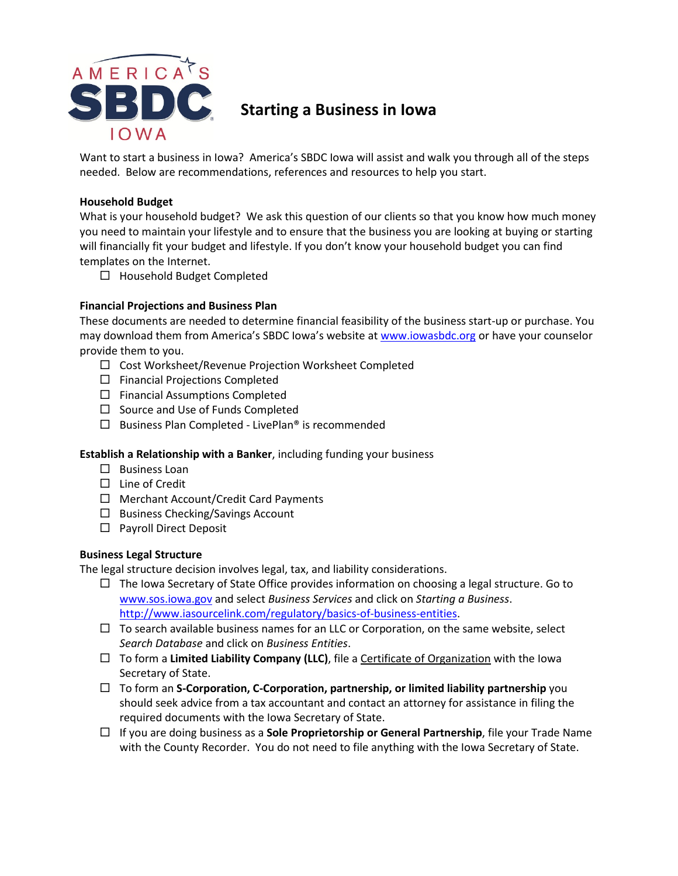

Want to start a business in Iowa? America's SBDC Iowa will assist and walk you through all of the steps needed. Below are recommendations, references and resources to help you start.

## **Household Budget**

What is your household budget? We ask this question of our clients so that you know how much money you need to maintain your lifestyle and to ensure that the business you are looking at buying or starting will financially fit your budget and lifestyle. If you don't know your household budget you can find templates on the Internet.

 $\Box$  Household Budget Completed

# **Financial Projections and Business Plan**

These documents are needed to determine financial feasibility of the business start-up or purchase. You may download them from America's SBDC Iowa's website at [www.iowasbdc.org](http://www.iowasbdc.org/) or have your counselor provide them to you.

- □ Cost Worksheet/Revenue Projection Worksheet Completed
- $\square$  Financial Projections Completed
- $\square$  Financial Assumptions Completed
- $\square$  Source and Use of Funds Completed
- $\square$  Business Plan Completed LivePlan<sup>®</sup> is recommended

# **Establish a Relationship with a Banker**, including funding your business

- $\square$  Business Loan
- $\Box$  Line of Credit
- $\Box$  Merchant Account/Credit Card Payments
- $\Box$  Business Checking/Savings Account
- □ Payroll Direct Deposit

# **Business Legal Structure**

The legal structure decision involves legal, tax, and liability considerations.

- $\Box$  The Iowa Secretary of State Office provides information on choosing a legal structure. Go to [www.sos.iowa.gov](http://www.sos.iowa.gov/) and select *Business Services* and click on *Starting a Business*. [http://www.iasourcelink.com/regulatory/basics-of-business-entities.](http://www.iasourcelink.com/regulatory/basics-of-business-entities)
- $\Box$  To search available business names for an LLC or Corporation, on the same website, select *Search Database* and click on *Business Entities*.
- $\Box$  To form a **Limited Liability Company (LLC)**, file a Certificate of Organization with the Iowa Secretary of State.
- To form an **S-Corporation, C-Corporation, partnership, or limited liability partnership** you should seek advice from a tax accountant and contact an attorney for assistance in filing the required documents with the Iowa Secretary of State.
- If you are doing business as a **Sole Proprietorship or General Partnership**, file your Trade Name with the County Recorder. You do not need to file anything with the Iowa Secretary of State.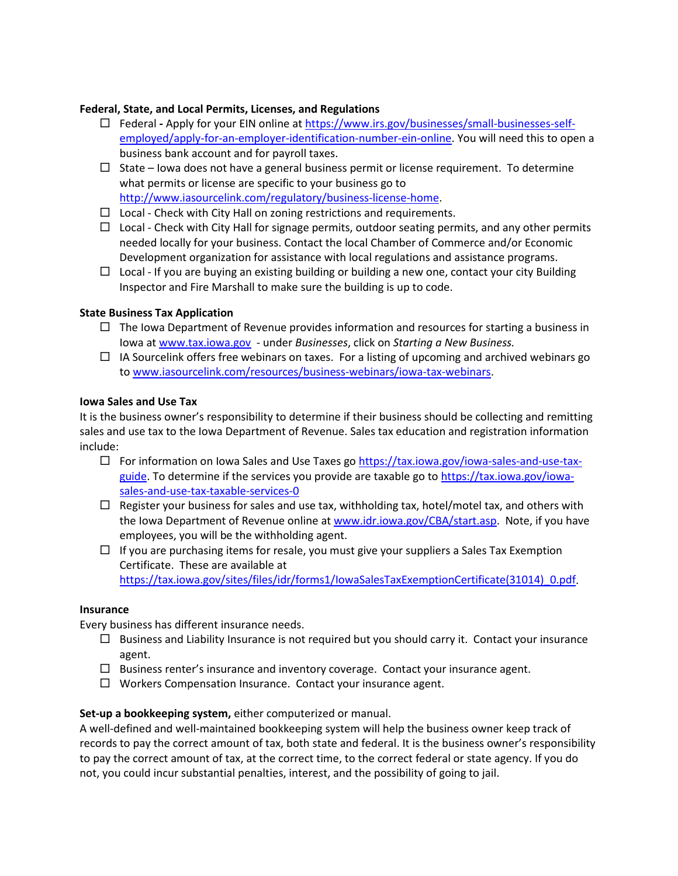# **Federal, State, and Local Permits, Licenses, and Regulations**

- Federal **-** Apply for your EIN online a[t https://www.irs.gov/businesses/small-businesses-self](https://www.irs.gov/businesses/small-businesses-self-employed/apply-for-an-employer-identification-number-ein-online)[employed/apply-for-an-employer-identification-number-ein-online.](https://www.irs.gov/businesses/small-businesses-self-employed/apply-for-an-employer-identification-number-ein-online) You will need this to open a business bank account and for payroll taxes.
- $\Box$  State Iowa does not have a general business permit or license requirement. To determine what permits or license are specific to your business go to [http://www.iasourcelink.com/regulatory/business-license-home.](http://www.iasourcelink.com/regulatory/business-license-home)
- $\Box$  Local Check with City Hall on zoning restrictions and requirements.
- $\Box$  Local Check with City Hall for signage permits, outdoor seating permits, and any other permits needed locally for your business. Contact the local Chamber of Commerce and/or Economic Development organization for assistance with local regulations and assistance programs.
- $\Box$  Local If you are buying an existing building or building a new one, contact your city Building Inspector and Fire Marshall to make sure the building is up to code.

# **State Business Tax Application**

- $\Box$  The Iowa Department of Revenue provides information and resources for starting a business in Iowa at [www.tax.iowa.gov](http://www.tax.iowa.gov/) - under *Businesses*, click on *Starting a New Business.*
- $\Box$  IA Sourcelink offers free webinars on taxes. For a listing of upcoming and archived webinars go to [www.iasourcelink.com/resources/business-webinars/iowa-tax-webinars.](http://www.iasourcelink.com/resources/business-webinars/iowa-tax-webinars)

## **Iowa Sales and Use Tax**

It is the business owner's responsibility to determine if their business should be collecting and remitting sales and use tax to the Iowa Department of Revenue. Sales tax education and registration information include:

- $\Box$  For information on Iowa Sales and Use Taxes go [https://tax.iowa.gov/iowa-sales-and-use-tax](https://tax.iowa.gov/iowa-sales-and-use-tax-guide)[guide.](https://tax.iowa.gov/iowa-sales-and-use-tax-guide) To determine if the services you provide are taxable go to [https://tax.iowa.gov/iowa](https://tax.iowa.gov/iowa-sales-and-use-tax-taxable-services-0)[sales-and-use-tax-taxable-services-0](https://tax.iowa.gov/iowa-sales-and-use-tax-taxable-services-0)
- $\Box$  Register your business for sales and use tax, withholding tax, hotel/motel tax, and others with the Iowa Department of Revenue online at [www.idr.iowa.gov/CBA/start.asp.](http://www.idr.iowa.gov/CBA/start.asp) Note, if you have employees, you will be the withholding agent.
- $\Box$  If you are purchasing items for resale, you must give your suppliers a Sales Tax Exemption Certificate. These are available at https://tax.iowa.gov/sites/files/idr/forms1/IowaSalesTaxExemptionCertificate(31014) 0.pdf.

## **Insurance**

Every business has different insurance needs.

- $\Box$  Business and Liability Insurance is not required but you should carry it. Contact your insurance agent.
- $\Box$  Business renter's insurance and inventory coverage. Contact your insurance agent.
- $\Box$  Workers Compensation Insurance. Contact your insurance agent.

## **Set-up a bookkeeping system,** either computerized or manual.

A well-defined and well-maintained bookkeeping system will help the business owner keep track of records to pay the correct amount of tax, both state and federal. It is the business owner's responsibility to pay the correct amount of tax, at the correct time, to the correct federal or state agency. If you do not, you could incur substantial penalties, interest, and the possibility of going to jail.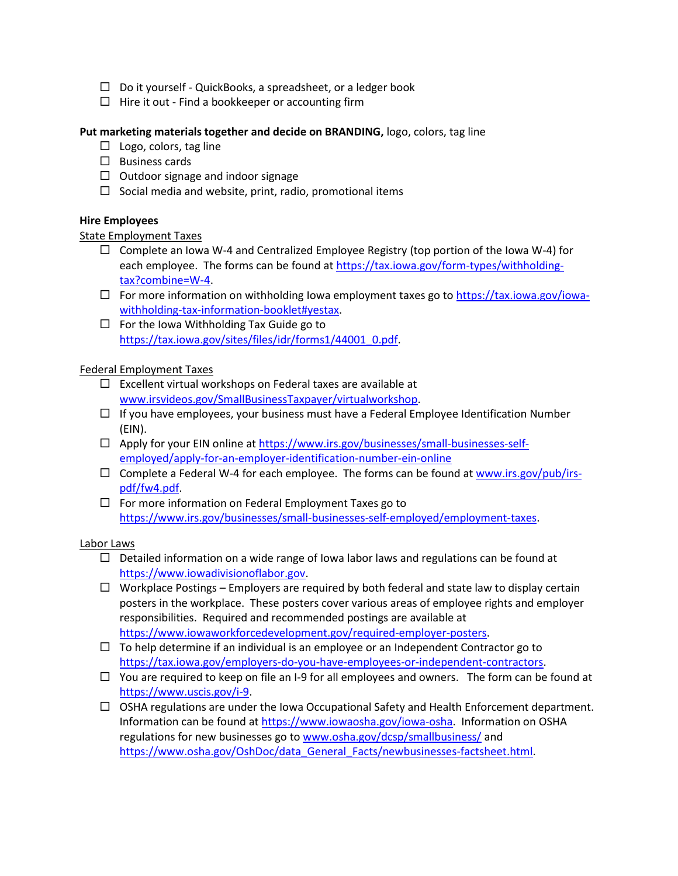- $\Box$  Do it yourself QuickBooks, a spreadsheet, or a ledger book
- $\Box$  Hire it out Find a bookkeeper or accounting firm

## **Put marketing materials together and decide on BRANDING,** logo, colors, tag line

- $\Box$  Logo, colors, tag line
- $\Box$  Business cards
- $\Box$  Outdoor signage and indoor signage
- $\Box$  Social media and website, print, radio, promotional items

## **Hire Employees**

## State Employment Taxes

- $\Box$  Complete an Iowa W-4 and Centralized Employee Registry (top portion of the Iowa W-4) for each employee. The forms can be found a[t https://tax.iowa.gov/form-types/withholding](https://tax.iowa.gov/form-types/withholding-tax?combine=W-4)[tax?combine=W-4.](https://tax.iowa.gov/form-types/withholding-tax?combine=W-4)
- $\Box$  For more information on withholding Iowa employment taxes go to [https://tax.iowa.gov/iowa](https://tax.iowa.gov/iowa-withholding-tax-information-booklet#yestax)[withholding-tax-information-booklet#yestax.](https://tax.iowa.gov/iowa-withholding-tax-information-booklet#yestax)
- $\Box$  For the Iowa Withholding Tax Guide go to [https://tax.iowa.gov/sites/files/idr/forms1/44001\\_0.pdf.](https://tax.iowa.gov/sites/files/idr/forms1/44001_0.pdf)

## Federal Employment Taxes

- $\square$  Excellent virtual workshops on Federal taxes are available at [www.irsvideos.gov/SmallBusinessTaxpayer/virtualworkshop.](http://www.irsvideos.gov/SmallBusinessTaxpayer/virtualworkshop)
- $\Box$  If you have employees, your business must have a Federal Employee Identification Number (EIN).
- □ Apply for your EIN online at [https://www.irs.gov/businesses/small-businesses-self](https://www.irs.gov/businesses/small-businesses-self-employed/apply-for-an-employer-identification-number-ein-online)[employed/apply-for-an-employer-identification-number-ein-online](https://www.irs.gov/businesses/small-businesses-self-employed/apply-for-an-employer-identification-number-ein-online)
- $\square$  Complete a Federal W-4 for each employee. The forms can be found at [www.irs.gov/pub/irs](http://www.irs.gov/pub/irs-pdf/fw4.pdf)[pdf/fw4.pdf.](http://www.irs.gov/pub/irs-pdf/fw4.pdf)
- $\Box$  For more information on Federal Employment Taxes go to [https://www.irs.gov/businesses/small-businesses-self-employed/employment-taxes.](https://www.irs.gov/businesses/small-businesses-self-employed/employment-taxes)

## Labor Laws

- $\Box$  Detailed information on a wide range of Iowa labor laws and regulations can be found at [https://www.iowadivisionoflabor.gov.](https://www.iowadivisionoflabor.gov/)
- $\Box$  Workplace Postings Employers are required by both federal and state law to display certain posters in the workplace. These posters cover various areas of employee rights and employer responsibilities. Required and recommended postings are available at [https://www.iowaworkforcedevelopment.gov/required-employer-posters.](https://www.iowaworkforcedevelopment.gov/required-employer-posters)
- $\Box$  To help determine if an individual is an employee or an Independent Contractor go to [https://tax.iowa.gov/employers-do-you-have-employees-or-independent-contractors.](https://tax.iowa.gov/employers-do-you-have-employees-or-independent-contractors)
- $\Box$  You are required to keep on file an I-9 for all employees and owners. The form can be found at [https://www.uscis.gov/i-9.](https://www.uscis.gov/i-9)
- $\Box$  OSHA regulations are under the Iowa Occupational Safety and Health Enforcement department. Information can be found at [https://www.iowaosha.gov/iowa-osha.](https://www.iowaosha.gov/iowa-osha) Information on OSHA regulations for new businesses go to [www.osha.gov/dcsp/smallbusiness/](http://www.osha.gov/dcsp/smallbusiness/) and [https://www.osha.gov/OshDoc/data\\_General\\_Facts/newbusinesses-factsheet.html.](https://www.osha.gov/OshDoc/data_General_Facts/newbusinesses-factsheet.html)